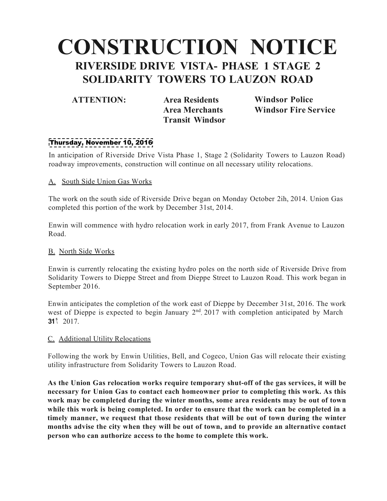# **CONSTRUCTION NOTICE RIVERSIDE DRIVE VISTA- PHASE 1 STAGE 2 SOLIDARITY TOWERS TO LAUZON ROAD**

**ATTENTION: Area Residents Area Merchants Transit Windsor** **Windsor Police Windsor Fire Service**

## Thursday, November 10, 2016

In anticipation of Riverside Drive Vista Phase 1, Stage 2 (Solidarity Towers to Lauzon Road) roadway improvements, construction will continue on all necessary utility relocations.

### A. South Side Union Gas Works

The work on the south side of Riverside Drive began on Monday October 2ih, 2014. Union Gas completed this portion of the work by December 31st, 2014.

Enwin will commence with hydro relocation work in early 2017, from Frank Avenue to Lauzon Road.

### B. North Side Works

Enwin is currently relocating the existing hydro poles on the north side of Riverside Drive from Solidarity Towers to Dieppe Street and from Dieppe Street to Lauzon Road. This work began in September 2016.

**\ 31<sup>5</sup>**2017. Enwin anticipates the completion of the work east of Dieppe by December 31st, 2016. The work west of Dieppe is expected to begin January  $2<sup>nd</sup>$ , 2017 with completion anticipated by March

### C. Additional Utility Relocations

Following the work by Enwin Utilities, Bell, and Cogeco, Union Gas will relocate their existing utility infrastructure from Solidarity Towers to Lauzon Road.

**As the Union Gas relocation works require temporary shut-off of the gas services, it will be necessary for Union Gas to contact each homeowner prior to completing this work. As this work may be completed during the winter months, some area residents may be out of town while this work is being completed. In order to ensure that the work can be completed in a timely manner, we request that those residents that will be out of town during the winter months advise the city when they will be out of town, and to provide an alternative contact person who can authorize access to the home to complete this work.**